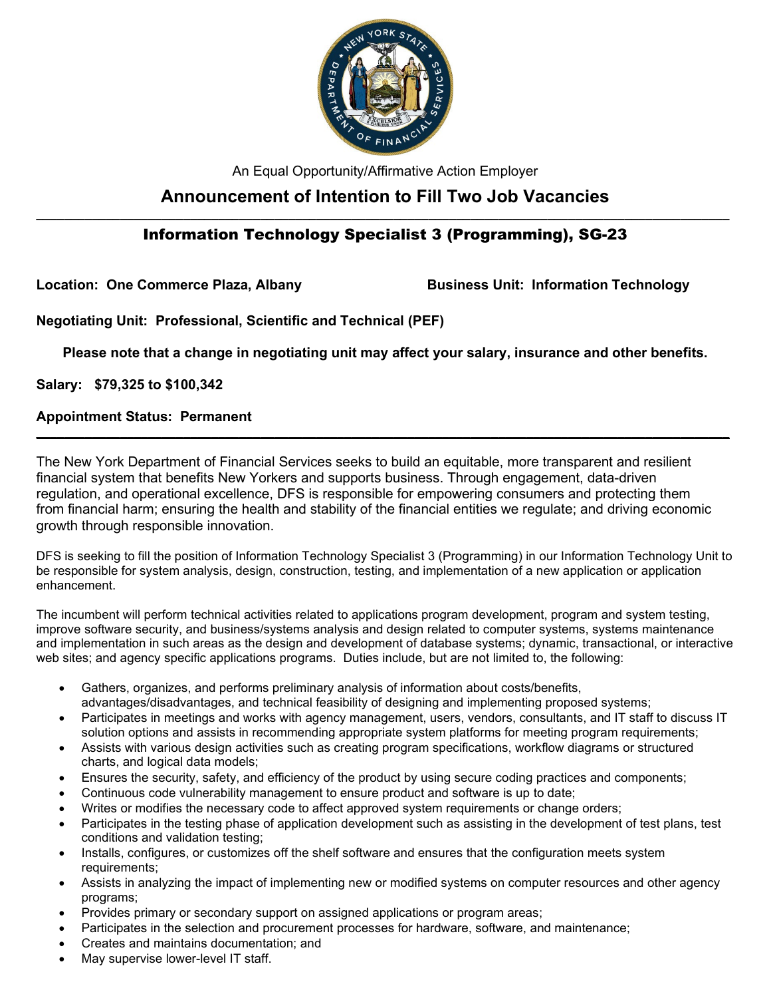

An Equal Opportunity/Affirmative Action Employer

# **Announcement of Intention to Fill Two Job Vacancies**

# **\_\_\_\_\_\_\_\_\_\_\_\_\_\_\_\_\_\_\_\_\_\_\_\_\_\_\_\_\_\_\_\_\_\_\_\_\_\_\_\_\_\_\_\_\_\_\_\_\_\_\_\_\_\_\_\_\_\_\_\_\_\_\_\_\_\_\_\_\_\_\_\_\_\_\_\_\_\_\_\_\_\_\_\_\_\_\_\_\_\_\_\_\_\_\_\_\_\_\_** Information Technology Specialist 3 (Programming), SG-23

Location: One Commerce Plaza, Albany **Business Unit: Information Technology** 

**Negotiating Unit: Professional, Scientific and Technical (PEF)**

**Please note that a change in negotiating unit may affect your salary, insurance and other benefits.**

**\_\_\_\_\_\_\_\_\_\_\_\_\_\_\_\_\_\_\_\_\_\_\_\_\_\_\_\_\_\_\_\_\_\_\_\_\_\_\_\_\_\_\_\_\_\_\_\_\_\_\_\_\_\_\_\_\_\_\_\_\_\_\_\_\_\_\_\_\_\_\_\_\_\_\_\_\_\_\_\_\_\_\_\_\_\_\_\_\_\_\_\_\_\_\_\_\_\_\_**

**Salary: \$79,325 to \$100,342** 

# **Appointment Status: Permanent**

The New York Department of Financial Services seeks to build an equitable, more transparent and resilient financial system that benefits New Yorkers and supports business. Through engagement, data-driven regulation, and operational excellence, DFS is responsible for empowering consumers and protecting them from financial harm; ensuring the health and stability of the financial entities we regulate; and driving economic growth through responsible innovation.

DFS is seeking to fill the position of Information Technology Specialist 3 (Programming) in our Information Technology Unit to be responsible for system analysis, design, construction, testing, and implementation of a new application or application enhancement.

The incumbent will perform technical activities related to applications program development, program and system testing, improve software security, and business/systems analysis and design related to computer systems, systems maintenance and implementation in such areas as the design and development of database systems; dynamic, transactional, or interactive web sites; and agency specific applications programs. Duties include, but are not limited to, the following:

- Gathers, organizes, and performs preliminary analysis of information about costs/benefits, advantages/disadvantages, and technical feasibility of designing and implementing proposed systems;
- Participates in meetings and works with agency management, users, vendors, consultants, and IT staff to discuss IT solution options and assists in recommending appropriate system platforms for meeting program requirements;
- Assists with various design activities such as creating program specifications, workflow diagrams or structured charts, and logical data models;
- Ensures the security, safety, and efficiency of the product by using secure coding practices and components;
- Continuous code vulnerability management to ensure product and software is up to date;
- Writes or modifies the necessary code to affect approved system requirements or change orders;
- Participates in the testing phase of application development such as assisting in the development of test plans, test conditions and validation testing;
- Installs, configures, or customizes off the shelf software and ensures that the configuration meets system requirements;
- Assists in analyzing the impact of implementing new or modified systems on computer resources and other agency programs;
- Provides primary or secondary support on assigned applications or program areas;
- Participates in the selection and procurement processes for hardware, software, and maintenance;
- Creates and maintains documentation; and
- May supervise lower-level IT staff.